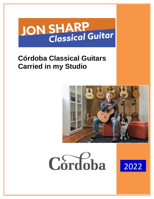# **JON SHARP**<br>Classical Guitar

# **Córdoba Classical Guitars Carried in my Studio**





2022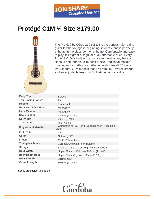

# **Protégé C1M ¼ Size \$179.00**



The Protégé by Córdoba C1M 1/4 is the perfect nylon string guitar for the youngest, beginning students, and is perfectly at home in the classroom or at home. Comfortable and easy to play, it's a great first guitar at an affordable price. Every Protégé C1M is built with a spruce top, mahogany back and sides, a comfortable, slim neck profile, traditional mosaic rosette, and a matte polyurethane finish. Like all Córdoba instruments, C1M models feature premium Savarez strings and an adjustable truss rod for lifetime neck stability.

| <b>Body Top</b>             | Spruce                                                   |
|-----------------------------|----------------------------------------------------------|
| <b>Top Bracing Pattern</b>  | Fan                                                      |
| <b>Rosette</b>              | Traditional                                              |
| <b>Back and Sides Wood</b>  | Mahogany                                                 |
| <b>Neck Material</b>        | Mahogany                                                 |
| <b>Scale Length</b>         | 480mm (18 7/8")                                          |
| <b>Nut Width</b>            | 45mm (1 3/4")                                            |
| <b>Truss Rod</b>            | Dual Action                                              |
| <b>Fingerboard Material</b> | Composite or Pau Ferro (Dependent on Production<br>Date) |
| <b>Frets Total</b>          | 19                                                       |
| <b>Color</b>                | Natural (NAT)                                            |
| <b>Finish</b>               | Matte Polyurethane                                       |
| <b>Tuning Machines</b>      | Cordoba Gold with Pearl Buttons                          |
| <b>Strings</b>              | Savarez Cristal Corum High Tension 500CJ                 |
| <b>Bout Width</b>           | Upper 229mm (9") Lower 298mm (11 3/4")                   |
| <b>Body Depth Bout</b>      | Upper 75mm (3") Lower 80mm (3 1/8")                      |
| <b>Body Length</b>          | 381mm (15")                                              |
| <b>Overall Length</b>       | 806mm (31 3/4")                                          |

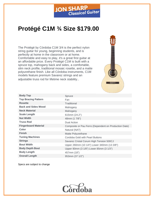# **JON SHARP**<br>Classical Guitar

# **Protégé C1M ¾ Size \$179.00**

The Protégé by Córdoba C1M 3/4 is the perfect nylon string guitar for young, beginning students, and is perfectly at home in the classroom or at home. Comfortable and easy to play, it's a great first guitar at an affordable price. Every Protégé C1M is built with a spruce top, mahogany back and sides, a comfortable, slim neck profile, traditional mosaic rosette, and a matte polyurethane finish. Like all Córdoba instruments, C1M models feature premium Savarez strings and an adjustable truss rod for lifetime neck stability..



| <b>Body Top</b>             | Spruce                                                |
|-----------------------------|-------------------------------------------------------|
| <b>Top Bracing Pattern</b>  | Fan                                                   |
| <b>Rosette</b>              | Traditional                                           |
| <b>Back and Sides Wood</b>  | Mahogany                                              |
| <b>Neck Material</b>        | Mahogany                                              |
| <b>Scale Length</b>         | 615mm (24.2")                                         |
| <b>Nut Width</b>            | 48mm (1 7/8")                                         |
| <b>Truss Rod</b>            | <b>Dual Action</b>                                    |
| <b>Fingerboard Material</b> | Composite or Pau Ferro (Dependent on Production Date) |
| <b>Color</b>                | Natural (NAT)                                         |
| <b>Finish</b>               | Matte Polyurethane                                    |
| <b>Tuning Machines</b>      | Cordoba Gold with Pearl Buttons                       |
| <b>Strings</b>              | Savarez Cristal Corum High Tension 500CJ              |
| <b>Bout Width</b>           | Upper 260mm (10 1/4") Lower 340mm (13 3/8")           |
| <b>Body Depth Bout</b>      | Upper 80mm (3 1/8") Lower 85mm (3 1/3")               |
| <b>Body Length</b>          | 457mm (18")                                           |
| <b>Overall Length</b>       | 953mm (37 1/2")                                       |

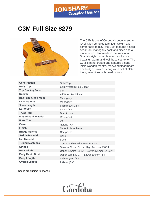

### **C3M Full Size \$279**



The C3M is one of Cordoba's popular entrylevel nylon string guitars. Lightweight and comfortable to play, the C3M features a solid cedar top, mahogany back and sides and a matte finish. Handmade in the traditional Spanish style, its fan bracing results in a beautiful, warm, and well-balanced tone. The C3M is hand-crafted and features a hand inlaid wooden rosette, rosewood fingerboard and bridge, Savarez strings and nickel plated tuning machines with pearl buttons.

| <b>Construction</b>         | Solid Top                                   |
|-----------------------------|---------------------------------------------|
| <b>Body Top</b>             | Solid Western Red Cedar                     |
| <b>Top Bracing Pattern</b>  | Fan                                         |
| <b>Rosette</b>              | <b>All Wood Traditional</b>                 |
| <b>Back and Sides Wood</b>  | Mahogany                                    |
| <b>Neck Material</b>        | Mahogany                                    |
| <b>Scale Length</b>         | 648mm (25 1/2")                             |
| <b>Nut Width</b>            | 52mm (2")                                   |
| <b>Truss Rod</b>            | <b>Dual Action</b>                          |
| <b>Fingerboard Material</b> | Rosewood                                    |
| <b>Frets Total</b>          | 19                                          |
| Color                       | Natural (NAT)                               |
| <b>Finish</b>               | Matte Polyurethane                          |
| <b>Bridge Material</b>      | Composite                                   |
| <b>Saddle Material</b>      | <b>Bone</b>                                 |
| <b>Nut Material</b>         | <b>Bone</b>                                 |
| <b>Tuning Machines</b>      | Cordoba Silver with Pearl Buttons           |
| <b>Strings</b>              | Savarez Cristal Corum High Tension 500CJ    |
| <b>Bout Width</b>           | Upper 286mm (11 1/4") Lower 371mm (14 5/8") |
| <b>Body Depth Bout</b>      | Upper 95mm (3 3/4") Lower 100mm (4")        |
| <b>Body Length</b>          | 489mm (19 1/4")                             |
| <b>Overall Length</b>       | 991mm (39")                                 |

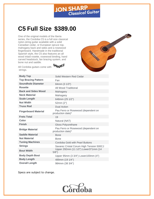

# **C5 Full Size \$389.00**

One of the original models of the Iberia series, the Cordoba C5 is a full size classical nylon-string guitar available with a solid Canadian cedar, or European spruce top, mahogany back and sides and a rosewood fingerboard. Handmade in the traditional Spanish style, the C5 also features an all wood inlaid rosette, rosewood binding, hand carved headstock, fan bracing system, and bone nut and saddle.



All Cordoba guitars come with **SAVAREZ** strings.

| <b>Body Top</b>             | Solid Western Red Cedar                                  |
|-----------------------------|----------------------------------------------------------|
| <b>Top Bracing Pattern</b>  | Fan                                                      |
| <b>Soundhole Diameter</b>   | 84mm (3 1/3")                                            |
| <b>Rosette</b>              | All Wood Traditional                                     |
| <b>Back and Sides Wood</b>  | Mahogany                                                 |
| <b>Neck Material</b>        | Mahogany                                                 |
| <b>Scale Length</b>         | 648mm (25 1/2")                                          |
| <b>Nut Width</b>            | 52mm (2")                                                |
| <b>Truss Rod</b>            | <b>Dual Action</b>                                       |
| <b>Fingerboard Material</b> | Pau Ferro or Rosewood (dependent on<br>production date)* |
| <b>Frets Total</b>          | 19                                                       |
| Color                       | Natural (NAT)                                            |
| <b>Finish</b>               | Gloss Polyurethane                                       |
| <b>Bridge Material</b>      | Pau Ferro or Rosewood (dependent on<br>production date)* |
| <b>Saddle Material</b>      | <b>Bone</b>                                              |
| <b>Nut Material</b>         | <b>Bone</b>                                              |
| <b>Tuning Machines</b>      | Cordoba Gold with Pearl Buttons                          |
| <b>Strings</b>              | Savarez Cristal Corum High Tension 500CJ                 |
| <b>Bout Width</b>           | Upper 292mm (11 1/2") Lower371mm (14<br>5/8")            |
| <b>Body Depth Bout</b>      | Upper 95mm (3 3/4") Lower100mm (4")                      |
| <b>Body Length</b>          | 489mm (19 1/4")                                          |
| <b>Overall Length</b>       | 984mm (38 3/4")                                          |

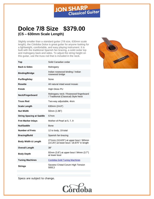

#### **Dolce 7/8 Size \$379.00 (C5 – 630mm Scale Length)**

Slightly smaller than a standard guitar (7/8 size, 630mm scale length), the Córdoba Dolce is great guitar for anyone looking for a lightweight, comfortable, and easy playing instrument. It is built with the traditional Spanish fan bracing, a solid cedar top and mahogany back and sides. To adjust the string height on this guitar, use the truss rod that is included in the neck.







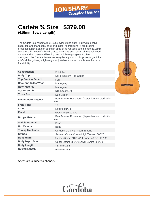

#### **Cadete ¾ Size \$379.00 (615mm Scale Length)**

The Cadete is a handmade 3/4 size nylon string guitar built with a solid cedar top and mahogany back and sides. Its traditional 7-fan bracing produces a rich Spanish sound in spite of its reduced string length (615mm scale length). Beautiful hand-crafted elements such as an all-natural wood rosette, Indian rosewood binding, and a lightweight gloss PU finish distinguish the Cadete from other entry-level guitars in its price range. Like all Córdoba guitars, a lightweight adjustable truss rod is built into the neck for stability.

| <b>Construction</b>         | Solid Top                                                   |
|-----------------------------|-------------------------------------------------------------|
| <b>Body Top</b>             | Solid Western Red Cedar                                     |
| <b>Top Bracing Pattern</b>  | Fan                                                         |
| <b>Back and Sides Wood</b>  | Mahogany                                                    |
| <b>Neck Material</b>        | Mahogany                                                    |
| <b>Scale Length</b>         | 615mm (24.2")                                               |
| <b>Truss Rod</b>            | <b>Dual Action</b>                                          |
| <b>Fingerboard Material</b> | Pau Ferro or Rosewood (dependent on production<br>$date)^*$ |
| <b>Frets Total</b>          | 19                                                          |
| Color                       | Natural (NAT)                                               |
| <b>Finish</b>               | <b>Gloss Polyurethane</b>                                   |
| <b>Bridge Material</b>      | Pau Ferro or Rosewood (dependent on production<br>$date)^*$ |
| <b>Saddle Material</b>      | <b>Bone</b>                                                 |
| <b>Nut Material</b>         | <b>Bone</b>                                                 |
| <b>Tuning Machines</b>      | Cordoba Gold with Pearl Buttons                             |
| <b>Strings</b>              | Savarez Cristal Corum High Tension 500CJ                    |
| <b>Bout Width</b>           | Upper 260mm (10 1/4") Lower 343mm (13 1/2")                 |
| <b>Body Depth Bout</b>      | Upper 80mm (3 1/8") Lower 85mm (3 1/3")                     |
| <b>Body Length</b>          | 457mm (18")                                                 |
| <b>Overall Length</b>       | 940mm (37")                                                 |



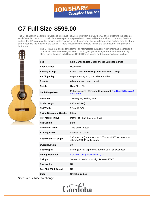

# **C7 Full Size \$599.00**

The C7 is a long-time fixture in Cordoba's product line. A step up from the C5, the C7 offers guitarists the option of solid Canadian cedar top or solid European spruce top paired with rosewood back and sides. Like many Cordoba guitars, the C7 features a fan bracing pattern, which gives the center of the soundboard more surface area to vibrate and respond to the tension of the strings. A more responsive soundboard makes the guitar louder, and provides better tone.

> The C7 is a great choice for beginner or intermediate guitarists. Additional features include a hand-inlaid wooden rosette, rosewood binding, bridge, and fingerboard, and a natural high gloss finish. It comes with Savarez Cristal Corum strings and Cordoba's deluxe gig bag.

| Top                             | Solid Canadian Red Cedar or solid European Spruce                                        |
|---------------------------------|------------------------------------------------------------------------------------------|
| <b>Back &amp; Sides</b>         | Rosewood                                                                                 |
| <b>Binding/Bridge</b>           | Indian rosewood binding / Indian rosewood bridge                                         |
| Purfling/Inlay                  | Maple & Ebony top, Maple back & sides                                                    |
| <b>Rosette</b>                  | All natural inlaid wood mosaic                                                           |
| Finish                          | High Gloss PU                                                                            |
| Neck/Fingerboard                | Mahogany neck / Rosewood fingerboard/ Traditional (Classical)<br><b>Style Neck</b>       |
| <b>Truss Rod</b>                | Two-way adjustable, 4mm                                                                  |
| <b>Scale Length</b>             | 650mm (25.6")                                                                            |
| <b>Nut Width</b>                | 52mm (2.04")                                                                             |
| <b>String Spacing at Saddle</b> | 60mm                                                                                     |
| <b>Fret Marker Inlays</b>       | Mother-of-Pearl at 3, 5, 7, 9, 12                                                        |
| Nut/Saddle                      | Bone                                                                                     |
| <b>Number of Frets</b>          | 12 to body, 19 total                                                                     |
| <b>Bracing/Build</b>            | Spanish fan bracing                                                                      |
| <b>Body Width &amp; Length</b>  | 290mm (11.4") at upper bout, 370mm (14.57") at lower bout;<br>485mm (19.09") body length |
| <b>Overall Length</b>           | 39"                                                                                      |
| <b>Body Depth</b>               | 95mm (3.7") at upper bout, 100mm (3.9") at lower bout                                    |
| <b>Tuning Machines</b>          | <b>Cordoba Tuning Machines C7, GK</b>                                                    |
| <b>Strings</b>                  | Savarez Cristal Corum High Tension 500CJ                                                 |
| <b>Electronics</b>              | <b>NA</b>                                                                                |
| <b>Tap Plate/Pick Guard</b>     | NA.                                                                                      |
| Case                            | Cordoba gig bag                                                                          |

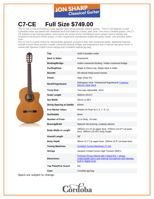

# **C7-CE Full Size \$749.00**

The C7-CE is one of Cordoba's most popular nylon string acoustic-electric guitars. The C7-CE features a solid Canadian cedar top paired with rosewood back and sides for a deep, bass tone. Like many Cordoba guitars, the C7- CE features a fan bracing pattern, which gives the center of the soundboard more surface area to vibrate and respond to the tension of the strings. A more responsive soundboard makes the guitar louder, and provides better tone.

The C7-CE is a great choice for intermediate guitarists in need of their next workhorse guitar. Additional features include a hand-inlaid wooden rosette, rosewood binding, bridge, and fingerboard, and a natural high gloss finish. It comes with Savarez Cristal Corum strings and Cordoba's deluxe gig bag.



| Top                             | Solid Canadian cedar                                                                                                              |
|---------------------------------|-----------------------------------------------------------------------------------------------------------------------------------|
| <b>Back &amp; Sides</b>         | Rosewood                                                                                                                          |
| <b>Binding/Bridge</b>           | Indian rosewood binding / Indian rosewood bridge                                                                                  |
| Purfling/Inlay                  | Maple & Ebony top, Maple back & sides                                                                                             |
| Rosette                         | All natural inlaid wood mosaic                                                                                                    |
| Finish                          | High Gloss PU                                                                                                                     |
| Neck/Fingerboard                | Mahogany neck / Rosewood fingerboard/ Cutaway-<br><b>Electric Style Neck</b>                                                      |
| <b>Truss Rod</b>                | Two-way adjustable, 4mm                                                                                                           |
| <b>Scale Length</b>             | 650mm (25.6")                                                                                                                     |
| <b>Nut Width</b>                | 50mm (1.96")                                                                                                                      |
| <b>String Spacing at Saddle</b> | 60 <sub>mm</sub>                                                                                                                  |
| <b>Fret Marker Inlays</b>       | Mother-of-Pearl at 3, 5, 7, 9, 12                                                                                                 |
| Nut/Saddle                      | Bone                                                                                                                              |
|                                 |                                                                                                                                   |
| <b>Number of Frets</b>          | 12 to body, 19 total                                                                                                              |
| <b>Bracing/Build</b>            | Spanish fan bracing, cutaway electric                                                                                             |
| <b>Body Width &amp; Length</b>  | 290mm (11.4") at upper bout, 370mm (14.57") at lower<br>bout; 485mm (19.09") body length                                          |
| <b>Overall Length</b>           | 39"                                                                                                                               |
| <b>Body Depth</b>               | 95mm (3.7") at upper bout, 100mm (3.9") at lower bout                                                                             |
| <b>Tuning Machines</b>          | Cordoba Tuning Machines C7, GK                                                                                                    |
| <b>Strings</b>                  | Savarez Cristal Corum High Tension 500CJ                                                                                          |
| <b>Electronics</b>              | Fishman Presys Blend with 4 Band EQ + phase,<br>undersaddle piezo and internal microphone with blender,<br>built in digital tuner |
| <b>Tap Plate/Pick Guard</b>     | <b>NA</b>                                                                                                                         |

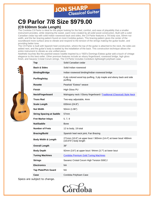

# **C9 Parlor 7/8 Size \$979.00**

#### **(C9 630mm Scale Length)**

The Cordoba C9 Parlor is ideal for the player looking for the feel, comfort, and ease of playability that a smaller instrument provides, while retaining the sweet, warm tone created by all-solid wood construction. Built with a solid Canadian cedar top with solid Indian rosewood back and sides, the C9 Parlor features a 7/8 body size, 50mm nut width, and the fan bracing pattern found on most Cordoba guitars. This bracing pattern gives the center of the soundboard more surface area to vibrate and respond to the tension of the strings making the guitar louder, and providing better tone.

The C9 Parlor is built with Spanish heel construction, where the top of the guitar is attached to the neck, the sides are added next, and the guitar's body is sealed by the installation of the back. This construction technique allows the entire instrument to vibrate as one unified piece.

Aesthetic touches like the pearloid weave rosette inspired by a 1920's Domingo Esteso guitar add a touch of vintage elegance to this best-seller. Other premium features include an ebony fingerboard, rosewood bridge, high gloss finish, and Savarez Cristal Corum strings. The C9 Parlor includes Cordoba's lightweight polyfoam case.



| Top                             | Solid Canadian cedar                                                                      |
|---------------------------------|-------------------------------------------------------------------------------------------|
| <b>Back &amp; Sides</b>         | Solid Indian rosewood                                                                     |
| <b>Binding/Bridge</b>           | Indian rosewood binding/Indian rosewood bridge                                            |
| Purfling/Inlay                  | 6 ply colored wood top purfling, 3 ply maple and ebony back and side<br>purfling          |
| <b>Rosette</b>                  | Pearloid "Esteso" weave                                                                   |
| <b>Finish</b>                   | High Gloss PU                                                                             |
| Neck/Fingerboard                | Mahogany neck / Ebony fingerboard / Traditional (Classical) Style Neck                    |
| <b>Truss Rod</b>                | Two-way adjustable, 4mm                                                                   |
| Scale Length                    | 630mm (24.8")                                                                             |
| <b>Nut Width</b>                | 50mm (1.96")                                                                              |
| <b>String Spacing at Saddle</b> | 57 <sub>mm</sub>                                                                          |
| <b>Fret Marker Inlays</b>       | 5, 7, 9                                                                                   |
| Nut/Saddle                      | Bone                                                                                      |
| <b>Number of Frets</b>          | 12 to body, 19 total                                                                      |
| <b>Bracing/Build</b>            | Spanish heel neck joint, Fan Bracing                                                      |
| <b>Body Width &amp; Length</b>  | 271mm (10.6") at upper bout / 365mm (14.4") at lower bout/ 480mm<br>(18.875") body length |
| <b>Overall Length</b>           | 38"                                                                                       |
| <b>Body Depth</b>               | 92mm (3.6") at upper bout / 94mm (3.7") at lower bout                                     |
| <b>Tuning Machines</b>          | <b>Cordoba Premium Gold Tuning Machines</b>                                               |
| <b>Strings</b>                  | Savarez Cristal Corum High Tension 500CJ                                                  |
| <b>Electronics</b>              | <b>NA</b>                                                                                 |
| <b>Tap Plate/Pick Guard</b>     | NA.                                                                                       |
| Case                            | Cordoba Polyfoam Case                                                                     |
|                                 |                                                                                           |

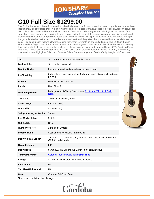

# **C10 Full Size \$1299.00**

The C10 is the perfect choice for the serious classical guitarist, or for any player looking to upgrade to a concert-level instrument at an affordable price. It is built with the choice of a solid Canadian cedar top or solid European spruce top with solid Indian rosewood back and sides. The C10 features a fan bracing pattern, which gives the center of the soundboard more surface area to vibrate and respond to the tension of the strings. A more responsive soundboard makes the guitar louder, and provides better tone. The C10 is built with Spanish heel construction, where the top of the guitar is attached to the neck, the sides are added next, and the guitar's body is sealed by the installation of the back. This construction feature allows the entire instrument to vibrate as one unified piece. The C10 has the neck shape and flat fingerboard characteristic of traditional classical guitars, and includes the added benefit of a two-way truss rod built into the neck. Aesthetic touches like the pearloid weave rosette inspired by a 1920's Domingo Esteso guitar add a touch of vintage elegance to this best-seller. Other premium features include an ebony fingerboard, rosewood bridge, high gloss finish, and Savarez Cristal Corum strings, and Cordoba's lightweight polyfoam case.

| Top                             | Solid European spruce or Canadian cedar                                                 |
|---------------------------------|-----------------------------------------------------------------------------------------|
| <b>Back &amp; Sides</b>         | Solid Indian rosewood                                                                   |
| <b>Binding/Bridge</b>           | Indian rosewood binding/Indian rosewood bridge                                          |
| <b>Purfling/Inlay</b>           | 6 ply colored wood top purfling, 3 ply maple and ebony back and side<br>purfling        |
| <b>Rosette</b>                  | Pearloid "Esteso" weave                                                                 |
| Finish                          | High Gloss PU                                                                           |
| Neck/Fingerboard                | Mahogany neck/Ebony fingerboard/ Traditional (Classical) Style<br><b>Neck</b>           |
| <b>Truss Rod</b>                | Two-way adjustable, 4mm                                                                 |
| <b>Scale Length</b>             | 650mm (25.6")                                                                           |
| <b>Nut Width</b>                | 52mm (2.04")                                                                            |
| <b>String Spacing at Saddle</b> | 59mm                                                                                    |
| <b>Fret Marker Inlays</b>       | 5, 7, 9                                                                                 |
| Nut/Saddle                      | <b>Bone</b>                                                                             |
| <b>Number of Frets</b>          | 12 to body, 19 total                                                                    |
| <b>Bracing/Build</b>            | Spanish heel neck joint, Fan Bracing                                                    |
| <b>Body Width &amp; Length</b>  | 290mm (11.4") at upper bout, 370mm (14.6") at lower bout/ 490mm<br>(19.29") body length |
| <b>Overall Length</b>           | 39"                                                                                     |
| <b>Body Depth</b>               | 95mm (3.7") at upper bout, 97mm (3.8") at lower bout                                    |
| <b>Tuning Machines</b>          | <b>Cordoba Premium Gold Tuning Machines</b>                                             |
| <b>Strings</b>                  | Savarez Cristal Corum High Tension 500CJ                                                |
| <b>Electronics</b>              | <b>NA</b>                                                                               |
| <b>Tap Plate/Pick Guard</b>     | <b>NA</b>                                                                               |
| Case                            | Cordoba Polyfoam Case                                                                   |
|                                 |                                                                                         |